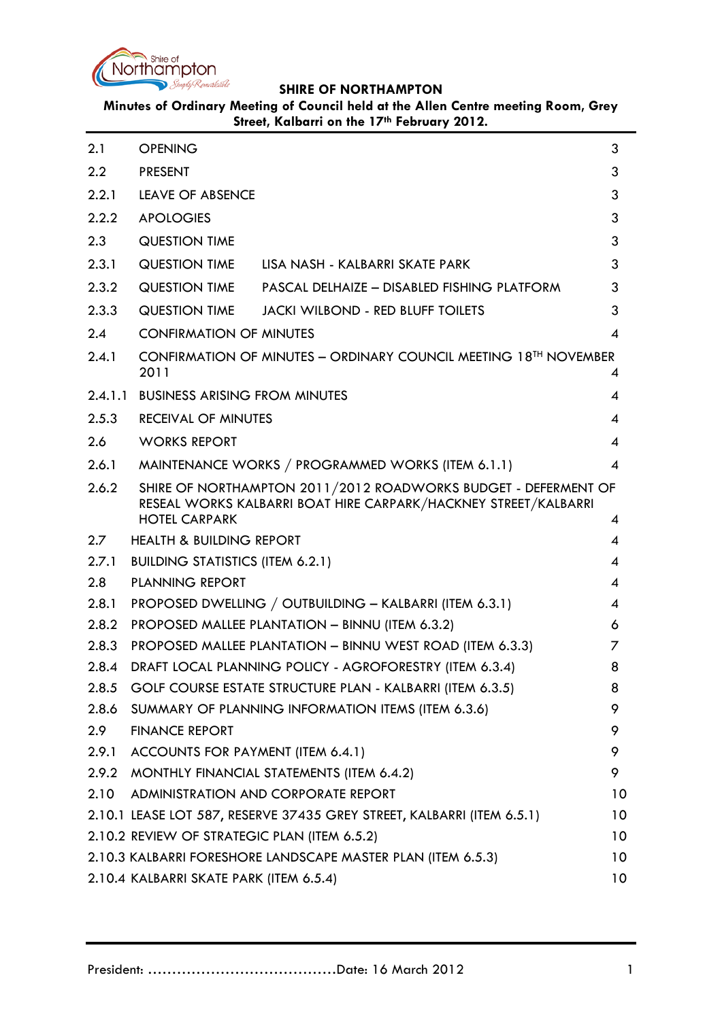

**Minutes of Ordinary Meeting of Council held at the Allen Centre meeting Room, Grey Street, Kalbarri on the 17th February 2012.**

<span id="page-0-0"></span>

| 2.1              | <b>OPENING</b>                                                                |                                                                                                                                   | 3              |
|------------------|-------------------------------------------------------------------------------|-----------------------------------------------------------------------------------------------------------------------------------|----------------|
| 2.2              | <b>PRESENT</b>                                                                |                                                                                                                                   | 3              |
| 2.2.1            | <b>LEAVE OF ABSENCE</b>                                                       |                                                                                                                                   | 3              |
| 2.2.2            | <b>APOLOGIES</b>                                                              |                                                                                                                                   | 3              |
| 2.3              | <b>QUESTION TIME</b>                                                          |                                                                                                                                   | 3              |
| 2.3.1            | QUESTION TIME                                                                 | LISA NASH - KALBARRI SKATE PARK                                                                                                   | 3              |
| 2.3.2            | <b>QUESTION TIME</b>                                                          | PASCAL DELHAIZE - DISABLED FISHING PLATFORM                                                                                       | 3              |
| 2.3.3            | <b>QUESTION TIME</b>                                                          | <b>JACKI WILBOND - RED BLUFF TOILETS</b>                                                                                          | 3              |
| 2.4              | <b>CONFIRMATION OF MINUTES</b>                                                |                                                                                                                                   | $\overline{4}$ |
| 2.4.1            | CONFIRMATION OF MINUTES - ORDINARY COUNCIL MEETING 18TH NOVEMBER<br>2011<br>4 |                                                                                                                                   |                |
| 2.4.1.1          | <b>BUSINESS ARISING FROM MINUTES</b>                                          |                                                                                                                                   | 4              |
| 2.5.3            | <b>RECEIVAL OF MINUTES</b>                                                    |                                                                                                                                   | 4              |
| 2.6              | <b>WORKS REPORT</b>                                                           |                                                                                                                                   | 4              |
| 2.6.1            |                                                                               | MAINTENANCE WORKS / PROGRAMMED WORKS (ITEM 6.1.1)                                                                                 | $\overline{4}$ |
| 2.6.2            |                                                                               | SHIRE OF NORTHAMPTON 2011/2012 ROADWORKS BUDGET - DEFERMENT OF<br>RESEAL WORKS KALBARRI BOAT HIRE CARPARK/HACKNEY STREET/KALBARRI |                |
|                  | <b>HOTEL CARPARK</b>                                                          |                                                                                                                                   | 4              |
| $2.7^{\circ}$    | <b>HEALTH &amp; BUILDING REPORT</b>                                           |                                                                                                                                   | 4              |
| 2.7.1            | <b>BUILDING STATISTICS (ITEM 6.2.1)</b><br><b>PLANNING REPORT</b>             |                                                                                                                                   | 4              |
| 2.8<br>2.8.1     | PROPOSED DWELLING / OUTBUILDING - KALBARRI (ITEM 6.3.1)                       |                                                                                                                                   | 4<br>4         |
| 2.8.2            | PROPOSED MALLEE PLANTATION - BINNU (ITEM 6.3.2)                               |                                                                                                                                   | 6              |
| 2.8.3            | PROPOSED MALLEE PLANTATION - BINNU WEST ROAD (ITEM 6.3.3)                     |                                                                                                                                   | 7              |
| 2.8.4            | DRAFT LOCAL PLANNING POLICY - AGROFORESTRY (ITEM 6.3.4)                       |                                                                                                                                   | 8              |
| 2.8.5            | GOLF COURSE ESTATE STRUCTURE PLAN - KALBARRI (ITEM 6.3.5)                     |                                                                                                                                   | 8              |
| 2.8.6            |                                                                               | SUMMARY OF PLANNING INFORMATION ITEMS (ITEM 6.3.6)                                                                                | 9              |
| 2.9 <sub>2</sub> | <b>FINANCE REPORT</b>                                                         |                                                                                                                                   | 9              |
| 2.9.1            | ACCOUNTS FOR PAYMENT (ITEM 6.4.1)                                             |                                                                                                                                   | 9              |
| 2.9.2            |                                                                               | MONTHLY FINANCIAL STATEMENTS (ITEM 6.4.2)                                                                                         | 9              |
| 2.10             |                                                                               | ADMINISTRATION AND CORPORATE REPORT                                                                                               | 10             |
|                  |                                                                               | 2.10.1 LEASE LOT 587, RESERVE 37435 GREY STREET, KALBARRI (ITEM 6.5.1)                                                            | 10             |
|                  | 2.10.2 REVIEW OF STRATEGIC PLAN (ITEM 6.5.2)                                  |                                                                                                                                   | 10             |
|                  | 2.10.3 KALBARRI FORESHORE LANDSCAPE MASTER PLAN (ITEM 6.5.3)                  |                                                                                                                                   | 10             |
|                  | 2.10.4 KALBARRI SKATE PARK (ITEM 6.5.4)                                       |                                                                                                                                   | 10             |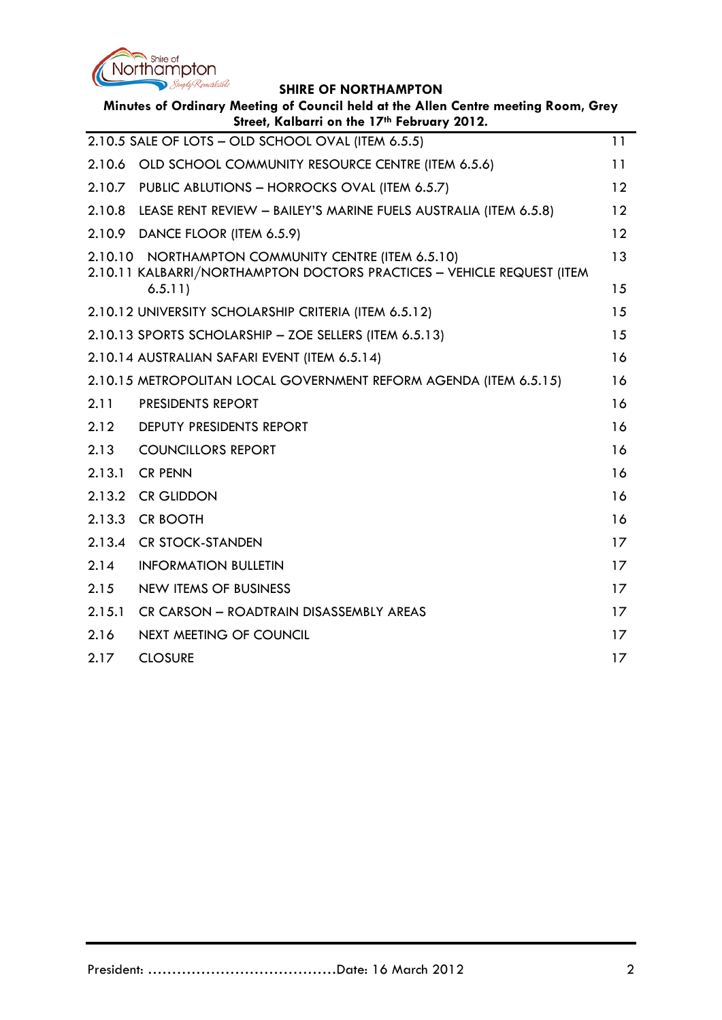

| Minutes of Ordinary Meeting of Council held at the Allen Centre meeting Room, Grey<br>Street, Kalbarri on the 17th February 2012. |                                                                                                                                         |          |  |  |
|-----------------------------------------------------------------------------------------------------------------------------------|-----------------------------------------------------------------------------------------------------------------------------------------|----------|--|--|
|                                                                                                                                   | 2.10.5 SALE OF LOTS - OLD SCHOOL OVAL (ITEM 6.5.5)                                                                                      | 11       |  |  |
| 2.10.6                                                                                                                            | OLD SCHOOL COMMUNITY RESOURCE CENTRE (ITEM 6.5.6)                                                                                       | 11       |  |  |
| 2.10.7                                                                                                                            | PUBLIC ABLUTIONS - HORROCKS OVAL (ITEM 6.5.7)                                                                                           | 12       |  |  |
| 2.10.8                                                                                                                            | LEASE RENT REVIEW - BAILEY'S MARINE FUELS AUSTRALIA (ITEM 6.5.8)                                                                        | 12       |  |  |
| 2.10.9                                                                                                                            | DANCE FLOOR (ITEM 6.5.9)                                                                                                                | 12       |  |  |
|                                                                                                                                   | 2.10.10 NORTHAMPTON COMMUNITY CENTRE (ITEM 6.5.10)<br>2.10.11 KALBARRI/NORTHAMPTON DOCTORS PRACTICES - VEHICLE REQUEST (ITEM<br>6.5.11) | 13<br>15 |  |  |
|                                                                                                                                   |                                                                                                                                         | 15       |  |  |
|                                                                                                                                   | 2.10.12 UNIVERSITY SCHOLARSHIP CRITERIA (ITEM 6.5.12)                                                                                   |          |  |  |
|                                                                                                                                   | 2.10.13 SPORTS SCHOLARSHIP - ZOE SELLERS (ITEM 6.5.13)                                                                                  | 15       |  |  |
|                                                                                                                                   | 2.10.14 AUSTRALIAN SAFARI EVENT (ITEM 6.5.14)                                                                                           | 16       |  |  |
|                                                                                                                                   | 2.10.15 METROPOLITAN LOCAL GOVERNMENT REFORM AGENDA (ITEM 6.5.15)                                                                       | 16       |  |  |
| 2.11                                                                                                                              | <b>PRESIDENTS REPORT</b>                                                                                                                | 16       |  |  |
| 2.12                                                                                                                              | DEPUTY PRESIDENTS REPORT                                                                                                                | 16       |  |  |
| 2.13                                                                                                                              | <b>COUNCILLORS REPORT</b>                                                                                                               | 16       |  |  |
| 2.13.1                                                                                                                            | <b>CR PENN</b>                                                                                                                          | 16       |  |  |
| 2.13.2                                                                                                                            | <b>CR GLIDDON</b>                                                                                                                       | 16       |  |  |
| 2.13.3                                                                                                                            | <b>CR BOOTH</b>                                                                                                                         | 16       |  |  |
| 2.13.4                                                                                                                            | <b>CR STOCK-STANDEN</b>                                                                                                                 | 17       |  |  |
| 2.14                                                                                                                              | <b>INFORMATION BULLETIN</b>                                                                                                             | 17       |  |  |
| 2.15                                                                                                                              | <b>NEW ITEMS OF BUSINESS</b>                                                                                                            | 17       |  |  |
| 2.15.1                                                                                                                            | CR CARSON - ROADTRAIN DISASSEMBLY AREAS                                                                                                 | 17       |  |  |
| 2.16                                                                                                                              | <b>NEXT MEETING OF COUNCIL</b>                                                                                                          | 17       |  |  |
| 2.17                                                                                                                              | <b>CLOSURE</b>                                                                                                                          | 17       |  |  |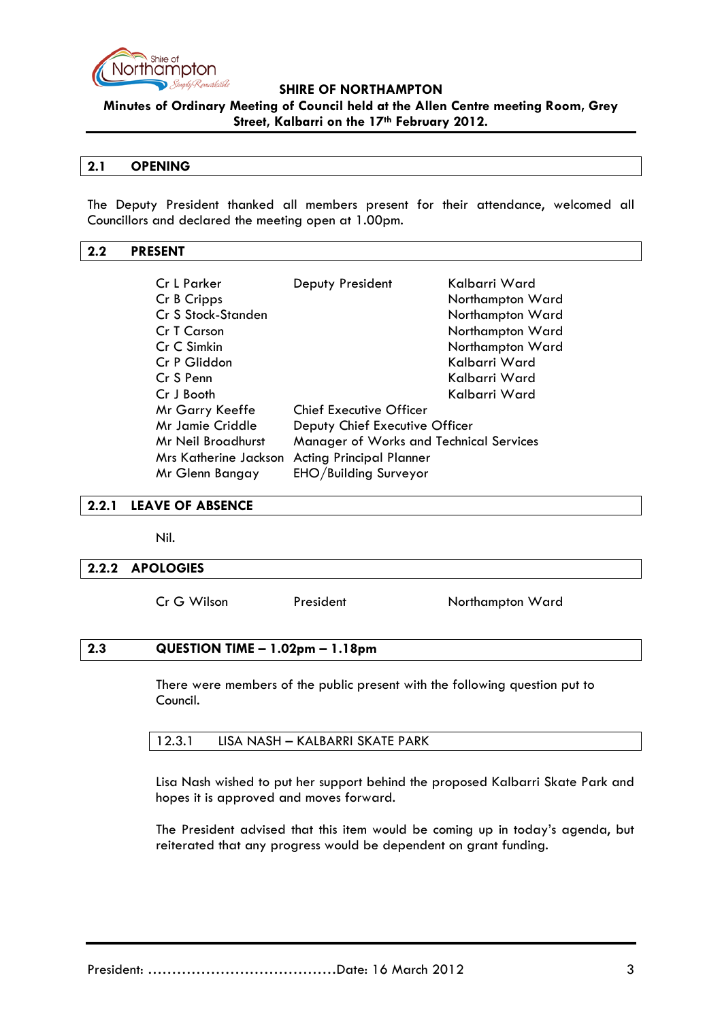

**Minutes of Ordinary Meeting of Council held at the Allen Centre meeting Room, Grey Street, Kalbarri on the 17th February 2012.**

### **2.1 OPENING**

The Deputy President thanked all members present for their attendance, welcomed all Councillors and declared the meeting open at 1.00pm.

### <span id="page-2-0"></span>**2.2 PRESENT**

| Cr L Parker<br>Cr B Cripps                               | Deputy President                        | Kalbarri Ward<br>Northampton Ward |
|----------------------------------------------------------|-----------------------------------------|-----------------------------------|
| Cr S Stock-Standen                                       |                                         | Northampton Ward                  |
| Cr T Carson                                              |                                         | Northampton Ward                  |
| Cr C Simkin                                              |                                         | Northampton Ward                  |
| Cr P Gliddon                                             |                                         | Kalbarri Ward                     |
| Cr S Penn                                                |                                         | Kalbarri Ward                     |
| Cr J Booth                                               |                                         | Kalbarri Ward                     |
| Mr Garry Keeffe                                          | <b>Chief Executive Officer</b>          |                                   |
| Mr Jamie Criddle                                         | Deputy Chief Executive Officer          |                                   |
| Mr Neil Broadhurst                                       | Manager of Works and Technical Services |                                   |
| Mrs Katherine Jackson<br><b>Acting Principal Planner</b> |                                         |                                   |
| Mr Glenn Bangay                                          | EHO/Building Surveyor                   |                                   |

#### <span id="page-2-1"></span>**2.2.1 LEAVE OF ABSENCE**

Nil.

#### <span id="page-2-2"></span>**2.2.2 APOLOGIES**

Cr G Wilson President Northampton Ward

#### <span id="page-2-3"></span>**2.3 QUESTION TIME – 1.02pm – 1.18pm**

There were members of the public present with the following question put to Council.

| 12.3.1 | LISA NASH – KALBARRI SKATE PARK |  |
|--------|---------------------------------|--|
|--------|---------------------------------|--|

Lisa Nash wished to put her support behind the proposed Kalbarri Skate Park and hopes it is approved and moves forward.

The President advised that this item would be coming up in today's agenda, but reiterated that any progress would be dependent on grant funding.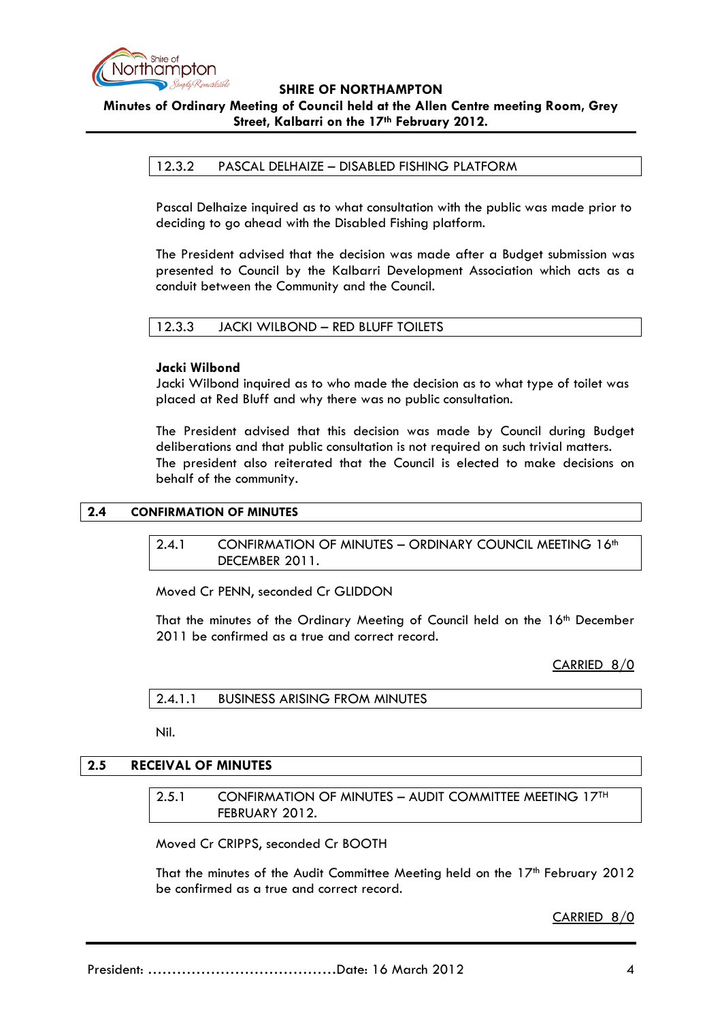

**Minutes of Ordinary Meeting of Council held at the Allen Centre meeting Room, Grey Street, Kalbarri on the 17th February 2012.**

### 12.3.2 PASCAL DELHAIZE – DISABLED FISHING PLATFORM

Pascal Delhaize inquired as to what consultation with the public was made prior to deciding to go ahead with the Disabled Fishing platform.

The President advised that the decision was made after a Budget submission was presented to Council by the Kalbarri Development Association which acts as a conduit between the Community and the Council.

#### 12.3.3 JACKI WILBOND – RED BLUFF TOILETS

#### **Jacki Wilbond**

Jacki Wilbond inquired as to who made the decision as to what type of toilet was placed at Red Bluff and why there was no public consultation.

The President advised that this decision was made by Council during Budget deliberations and that public consultation is not required on such trivial matters. The president also reiterated that the Council is elected to make decisions on behalf of the community.

#### <span id="page-3-1"></span><span id="page-3-0"></span>**2.4 CONFIRMATION OF MINUTES**

### 2.4.1 CONFIRMATION OF MINUTES - ORDINARY COUNCIL MEETING 16th DECEMBER 2011.

Moved Cr PENN, seconded Cr GLIDDON

That the minutes of the Ordinary Meeting of Council held on the 16<sup>th</sup> December 2011 be confirmed as a true and correct record.

#### CARRIED 8/0

2.4.1.1 BUSINESS ARISING FROM MINUTES

Nil.

#### **2.5 RECEIVAL OF MINUTES**

2.5.1 CONFIRMATION OF MINUTES – AUDIT COMMITTEE MEETING 17TH FEBRUARY 2012.

Moved Cr CRIPPS, seconded Cr BOOTH

That the minutes of the Audit Committee Meeting held on the  $17<sup>th</sup>$  February 2012 be confirmed as a true and correct record.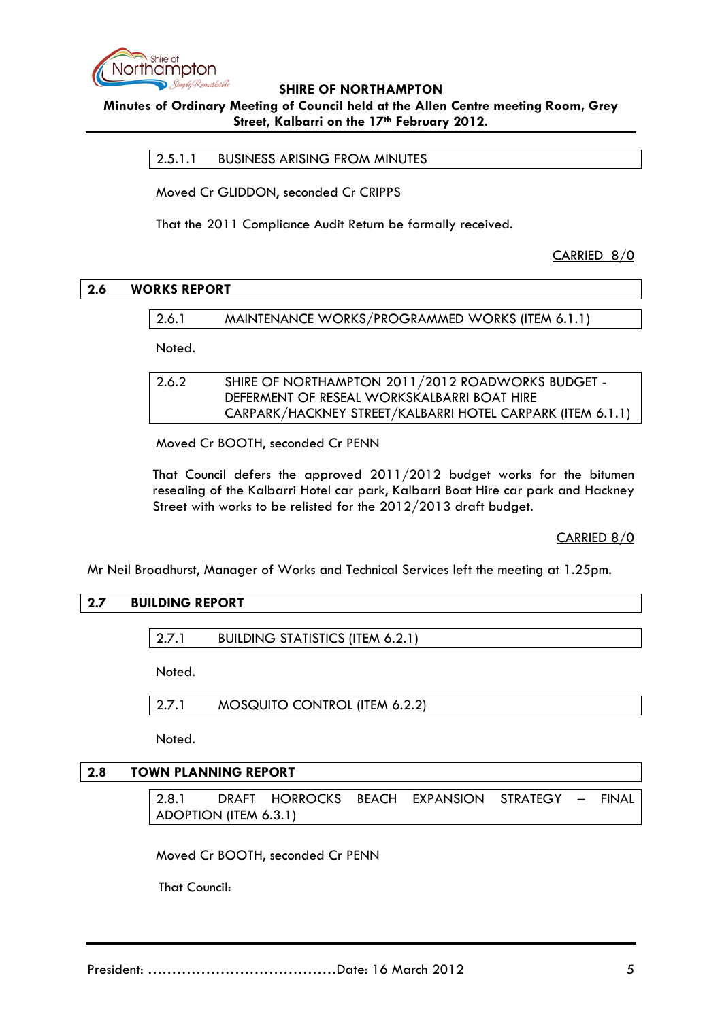

**Minutes of Ordinary Meeting of Council held at the Allen Centre meeting Room, Grey Street, Kalbarri on the 17th February 2012.**

2.5.1.1 BUSINESS ARISING FROM MINUTES

Moved Cr GLIDDON, seconded Cr CRIPPS

That the 2011 Compliance Audit Return be formally received.

CARRIED 8/0

### **2.6 WORKS REPORT**

2.6.1 MAINTENANCE WORKS/PROGRAMMED WORKS (ITEM 6.1.1)

Noted.

2.6.2 SHIRE OF NORTHAMPTON 2011/2012 ROADWORKS BUDGET - DEFERMENT OF RESEAL WORKSKALBARRI BOAT HIRE CARPARK/HACKNEY STREET/KALBARRI HOTEL CARPARK (ITEM 6.1.1)

Moved Cr BOOTH, seconded Cr PENN

That Council defers the approved 2011/2012 budget works for the bitumen resealing of the Kalbarri Hotel car park, Kalbarri Boat Hire car park and Hackney Street with works to be relisted for the 2012/2013 draft budget.

CARRIED 8/0

Mr Neil Broadhurst, Manager of Works and Technical Services left the meeting at 1.25pm.

### **2.7 BUILDING REPORT**

2.7.1 BUILDING STATISTICS (ITEM 6.2.1)

Noted.

2.7.1 MOSQUITO CONTROL (ITEM 6.2.2)

Noted.

#### **2.8 TOWN PLANNING REPORT**

2.8.1 DRAFT HORROCKS BEACH EXPANSION STRATEGY – FINAL ADOPTION (ITEM 6.3.1)

Moved Cr BOOTH, seconded Cr PENN

That Council: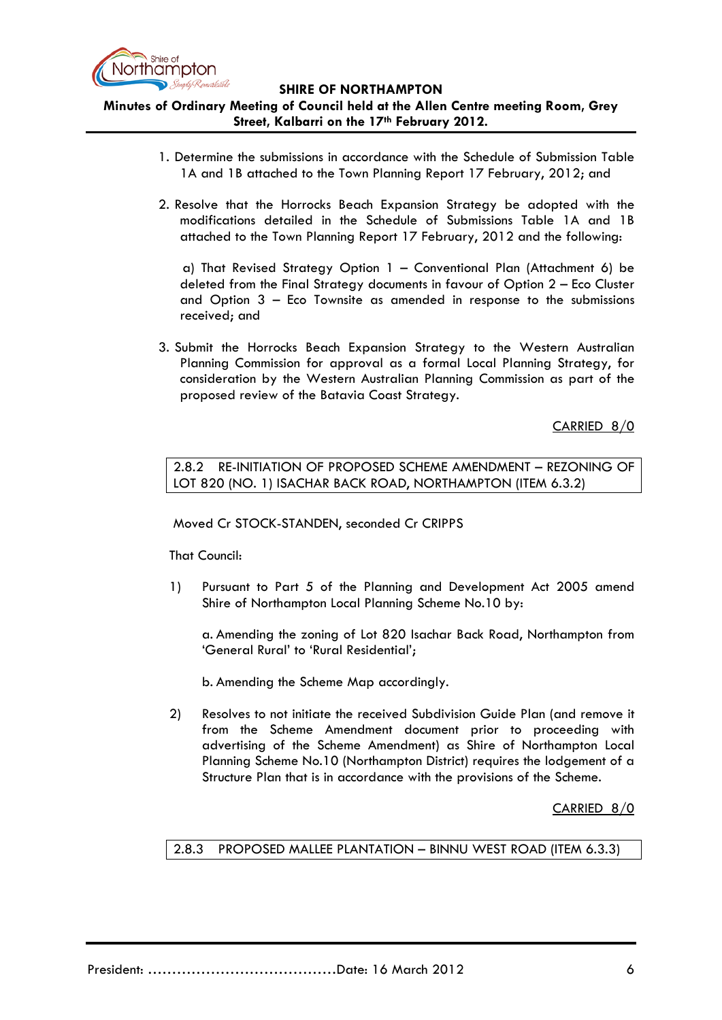

**Minutes of Ordinary Meeting of Council held at the Allen Centre meeting Room, Grey Street, Kalbarri on the 17th February 2012.**

- 1. Determine the submissions in accordance with the Schedule of Submission Table 1A and 1B attached to the Town Planning Report 17 February, 2012; and
- 2. Resolve that the Horrocks Beach Expansion Strategy be adopted with the modifications detailed in the Schedule of Submissions Table 1A and 1B attached to the Town Planning Report 17 February, 2012 and the following:

 a) That Revised Strategy Option 1 – Conventional Plan (Attachment 6) be deleted from the Final Strategy documents in favour of Option 2 – Eco Cluster and Option 3 – Eco Townsite as amended in response to the submissions received; and

3. Submit the Horrocks Beach Expansion Strategy to the Western Australian Planning Commission for approval as a formal Local Planning Strategy, for consideration by the Western Australian Planning Commission as part of the proposed review of the Batavia Coast Strategy.

CARRIED 8/0

2.8.2 RE-INITIATION OF PROPOSED SCHEME AMENDMENT – REZONING OF LOT 820 (NO. 1) ISACHAR BACK ROAD, NORTHAMPTON (ITEM 6.3.2)

Moved Cr STOCK-STANDEN, seconded Cr CRIPPS

That Council:

1) Pursuant to Part 5 of the Planning and Development Act 2005 amend Shire of Northampton Local Planning Scheme No.10 by:

a. Amending the zoning of Lot 820 Isachar Back Road, Northampton from 'General Rural' to 'Rural Residential';

b. Amending the Scheme Map accordingly.

2) Resolves to not initiate the received Subdivision Guide Plan (and remove it from the Scheme Amendment document prior to proceeding with advertising of the Scheme Amendment) as Shire of Northampton Local Planning Scheme No.10 (Northampton District) requires the lodgement of a Structure Plan that is in accordance with the provisions of the Scheme.

CARRIED 8/0

### 2.8.3 PROPOSED MALLEE PLANTATION – BINNU WEST ROAD (ITEM 6.3.3)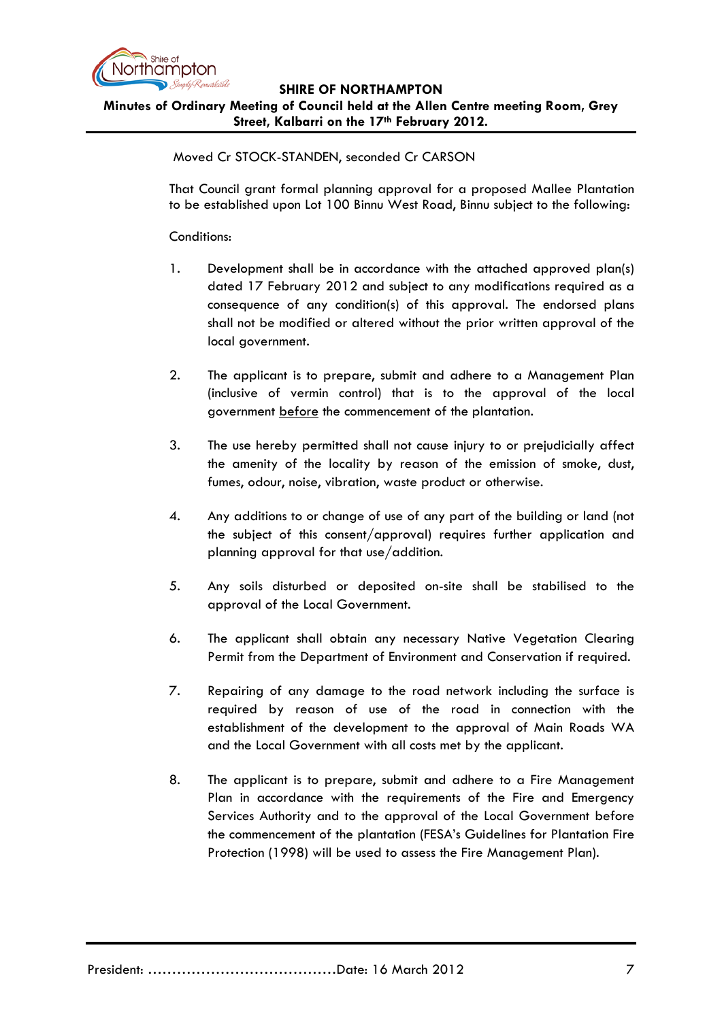

### **SHIRE OF NORTHAMPTON Minutes of Ordinary Meeting of Council held at the Allen Centre meeting Room, Grey Street, Kalbarri on the 17th February 2012.**

Moved Cr STOCK-STANDEN, seconded Cr CARSON

That Council grant formal planning approval for a proposed Mallee Plantation to be established upon Lot 100 Binnu West Road, Binnu subject to the following:

### Conditions:

- 1. Development shall be in accordance with the attached approved plan(s) dated 17 February 2012 and subject to any modifications required as a consequence of any condition(s) of this approval. The endorsed plans shall not be modified or altered without the prior written approval of the local government.
- 2. The applicant is to prepare, submit and adhere to a Management Plan (inclusive of vermin control) that is to the approval of the local government before the commencement of the plantation.
- 3. The use hereby permitted shall not cause injury to or prejudicially affect the amenity of the locality by reason of the emission of smoke, dust, fumes, odour, noise, vibration, waste product or otherwise.
- 4. Any additions to or change of use of any part of the building or land (not the subject of this consent/approval) requires further application and planning approval for that use/addition.
- 5. Any soils disturbed or deposited on-site shall be stabilised to the approval of the Local Government.
- 6. The applicant shall obtain any necessary Native Vegetation Clearing Permit from the Department of Environment and Conservation if required.
- 7. Repairing of any damage to the road network including the surface is required by reason of use of the road in connection with the establishment of the development to the approval of Main Roads WA and the Local Government with all costs met by the applicant.
- 8. The applicant is to prepare, submit and adhere to a Fire Management Plan in accordance with the requirements of the Fire and Emergency Services Authority and to the approval of the Local Government before the commencement of the plantation (FESA's Guidelines for Plantation Fire Protection (1998) will be used to assess the Fire Management Plan).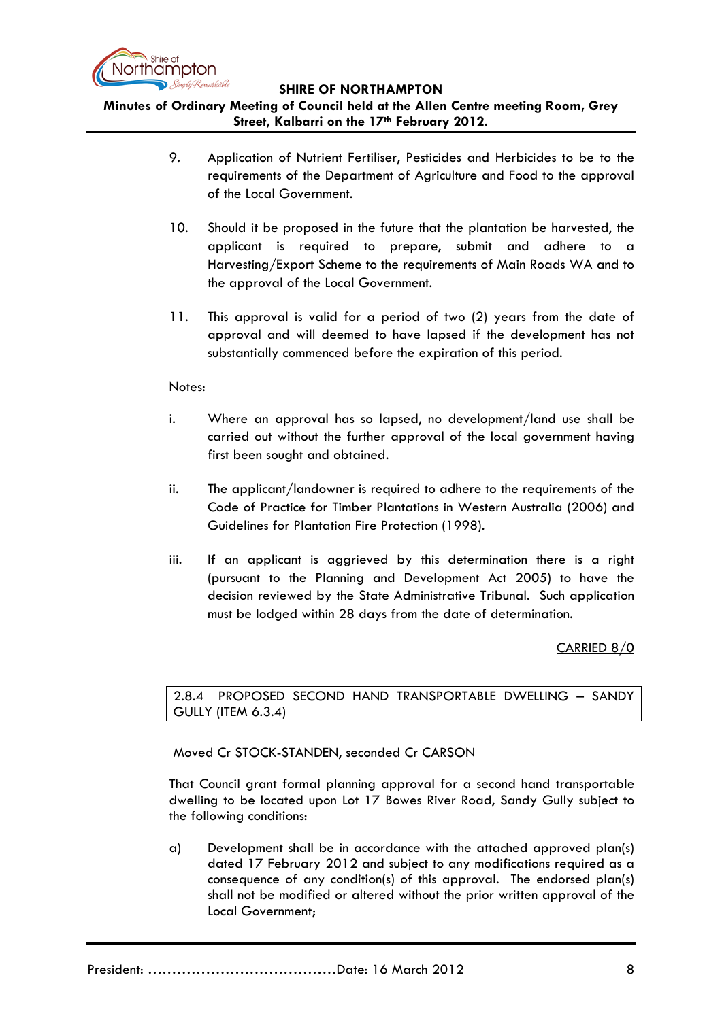

# **Minutes of Ordinary Meeting of Council held at the Allen Centre meeting Room, Grey Street, Kalbarri on the 17th February 2012.**

- 9. Application of Nutrient Fertiliser, Pesticides and Herbicides to be to the requirements of the Department of Agriculture and Food to the approval of the Local Government.
- 10. Should it be proposed in the future that the plantation be harvested, the applicant is required to prepare, submit and adhere to a Harvesting/Export Scheme to the requirements of Main Roads WA and to the approval of the Local Government.
- 11. This approval is valid for a period of two (2) years from the date of approval and will deemed to have lapsed if the development has not substantially commenced before the expiration of this period.

### Notes:

- i. Where an approval has so lapsed, no development/land use shall be carried out without the further approval of the local government having first been sought and obtained.
- ii. The applicant/landowner is required to adhere to the requirements of the Code of Practice for Timber Plantations in Western Australia (2006) and Guidelines for Plantation Fire Protection (1998).
- iii. If an applicant is aggrieved by this determination there is a right (pursuant to the Planning and Development Act 2005) to have the decision reviewed by the State Administrative Tribunal. Such application must be lodged within 28 days from the date of determination.

CARRIED 8/0

2.8.4 PROPOSED SECOND HAND TRANSPORTABLE DWELLING – SANDY GULLY (ITEM 6.3.4)

Moved Cr STOCK-STANDEN, seconded Cr CARSON

That Council grant formal planning approval for a second hand transportable dwelling to be located upon Lot 17 Bowes River Road, Sandy Gully subject to the following conditions:

a) Development shall be in accordance with the attached approved plan(s) dated 17 February 2012 and subject to any modifications required as a consequence of any condition(s) of this approval. The endorsed plan(s) shall not be modified or altered without the prior written approval of the Local Government;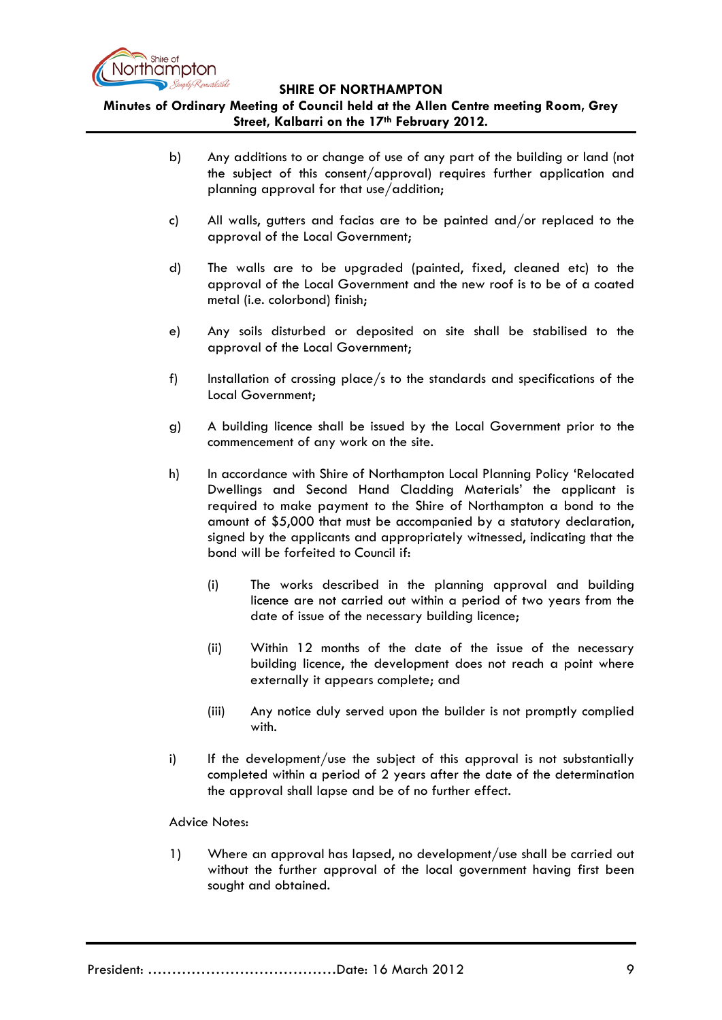

**Minutes of Ordinary Meeting of Council held at the Allen Centre meeting Room, Grey Street, Kalbarri on the 17th February 2012.**

- b) Any additions to or change of use of any part of the building or land (not the subject of this consent/approval) requires further application and planning approval for that use/addition;
- c) All walls, gutters and facias are to be painted and/or replaced to the approval of the Local Government;
- d) The walls are to be upgraded (painted, fixed, cleaned etc) to the approval of the Local Government and the new roof is to be of a coated metal (i.e. colorbond) finish;
- e) Any soils disturbed or deposited on site shall be stabilised to the approval of the Local Government;
- f) Installation of crossing place/s to the standards and specifications of the Local Government;
- g) A building licence shall be issued by the Local Government prior to the commencement of any work on the site.
- h) In accordance with Shire of Northampton Local Planning Policy 'Relocated Dwellings and Second Hand Cladding Materials' the applicant is required to make payment to the Shire of Northampton a bond to the amount of \$5,000 that must be accompanied by a statutory declaration, signed by the applicants and appropriately witnessed, indicating that the bond will be forfeited to Council if:
	- (i) The works described in the planning approval and building licence are not carried out within a period of two years from the date of issue of the necessary building licence;
	- (ii) Within 12 months of the date of the issue of the necessary building licence, the development does not reach a point where externally it appears complete; and
	- (iii) Any notice duly served upon the builder is not promptly complied with.
- i) If the development/use the subject of this approval is not substantially completed within a period of 2 years after the date of the determination the approval shall lapse and be of no further effect.

#### Advice Notes:

1) Where an approval has lapsed, no development/use shall be carried out without the further approval of the local government having first been sought and obtained.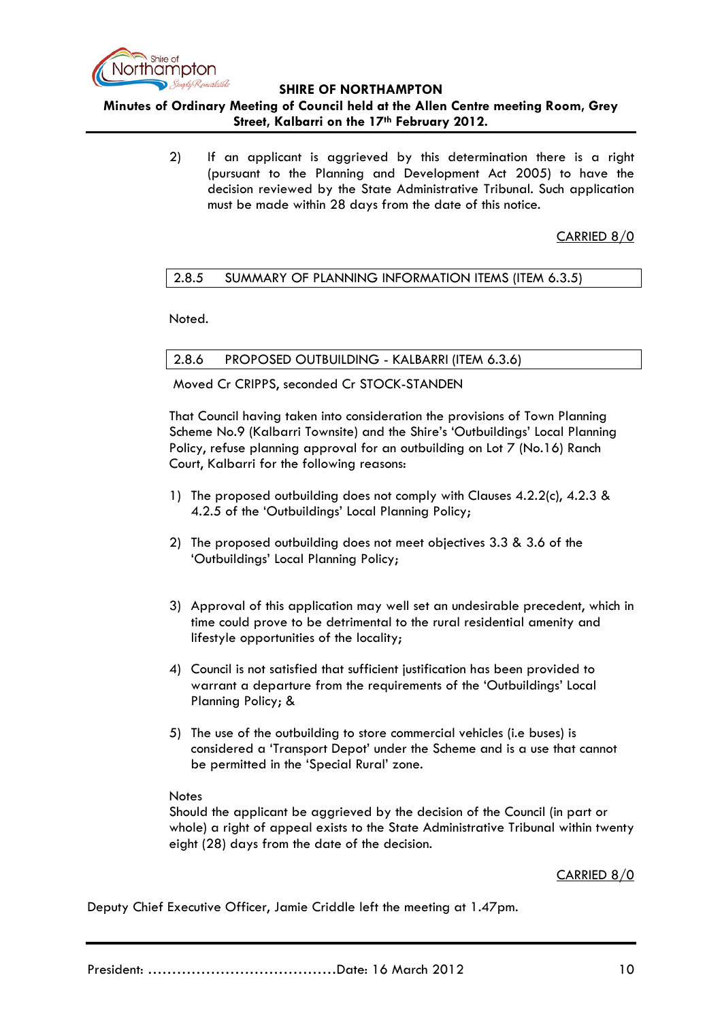

# **Minutes of Ordinary Meeting of Council held at the Allen Centre meeting Room, Grey Street, Kalbarri on the 17th February 2012.**

2) If an applicant is aggrieved by this determination there is a right (pursuant to the Planning and Development Act 2005) to have the decision reviewed by the State Administrative Tribunal. Such application must be made within 28 days from the date of this notice.

CARRIED 8/0

### 2.8.5 SUMMARY OF PLANNING INFORMATION ITEMS (ITEM 6.3.5)

Noted.

2.8.6 PROPOSED OUTBUILDING - KALBARRI (ITEM 6.3.6)

Moved Cr CRIPPS, seconded Cr STOCK-STANDEN

That Council having taken into consideration the provisions of Town Planning Scheme No.9 (Kalbarri Townsite) and the Shire's 'Outbuildings' Local Planning Policy, refuse planning approval for an outbuilding on Lot 7 (No.16) Ranch Court, Kalbarri for the following reasons:

- 1) The proposed outbuilding does not comply with Clauses 4.2.2(c), 4.2.3 & 4.2.5 of the 'Outbuildings' Local Planning Policy;
- 2) The proposed outbuilding does not meet objectives 3.3 & 3.6 of the 'Outbuildings' Local Planning Policy;
- 3) Approval of this application may well set an undesirable precedent, which in time could prove to be detrimental to the rural residential amenity and lifestyle opportunities of the locality;
- 4) Council is not satisfied that sufficient justification has been provided to warrant a departure from the requirements of the 'Outbuildings' Local Planning Policy; &
- 5) The use of the outbuilding to store commercial vehicles (i.e buses) is considered a 'Transport Depot' under the Scheme and is a use that cannot be permitted in the 'Special Rural' zone.

#### **Notes**

Should the applicant be aggrieved by the decision of the Council (in part or whole) a right of appeal exists to the State Administrative Tribunal within twenty eight (28) days from the date of the decision.

CARRIED 8/0

Deputy Chief Executive Officer, Jamie Criddle left the meeting at 1.47pm.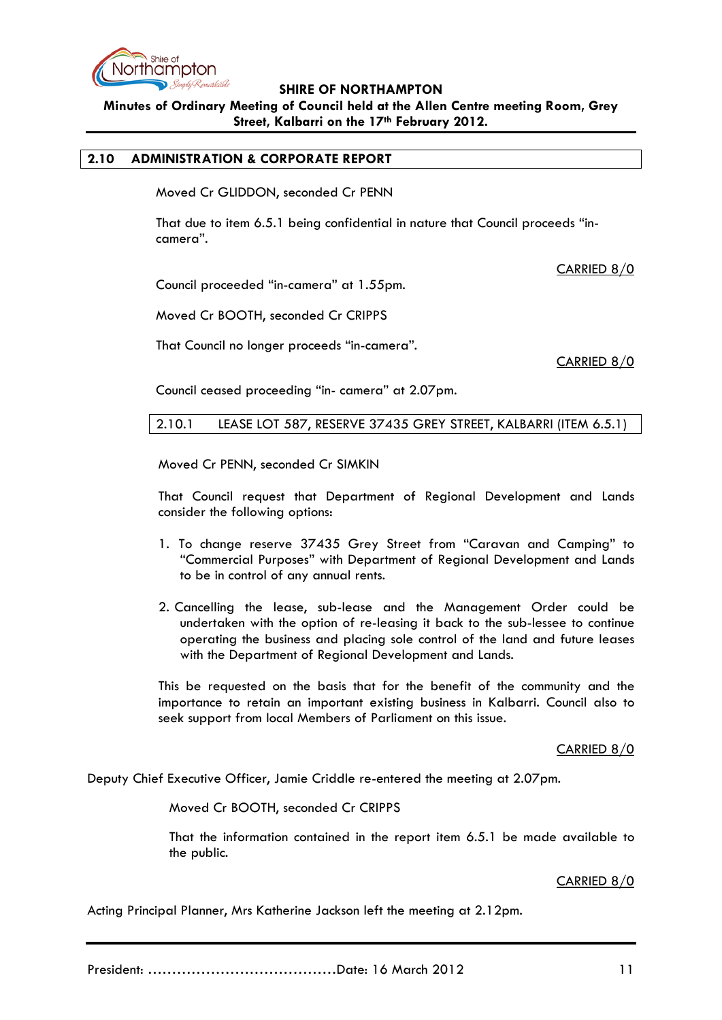

**Minutes of Ordinary Meeting of Council held at the Allen Centre meeting Room, Grey Street, Kalbarri on the 17th February 2012.**

### **2.10 ADMINISTRATION & CORPORATE REPORT**

Moved Cr GLIDDON, seconded Cr PENN

That due to item 6.5.1 being confidential in nature that Council proceeds "incamera".

CARRIED 8/0

Council proceeded "in-camera" at 1.55pm.

Moved Cr BOOTH, seconded Cr CRIPPS

That Council no longer proceeds "in-camera".

CARRIED 8/0

Council ceased proceeding "in- camera" at 2.07pm.

2.10.1 LEASE LOT 587, RESERVE 37435 GREY STREET, KALBARRI (ITEM 6.5.1)

Moved Cr PENN, seconded Cr SIMKIN

That Council request that Department of Regional Development and Lands consider the following options:

- 1. To change reserve 37435 Grey Street from "Caravan and Camping" to "Commercial Purposes" with Department of Regional Development and Lands to be in control of any annual rents.
- 2. Cancelling the lease, sub-lease and the Management Order could be undertaken with the option of re-leasing it back to the sub-lessee to continue operating the business and placing sole control of the land and future leases with the Department of Regional Development and Lands.

This be requested on the basis that for the benefit of the community and the importance to retain an important existing business in Kalbarri. Council also to seek support from local Members of Parliament on this issue.

CARRIED 8/0

Deputy Chief Executive Officer, Jamie Criddle re-entered the meeting at 2.07pm.

Moved Cr BOOTH, seconded Cr CRIPPS

That the information contained in the report item 6.5.1 be made available to the public.

#### CARRIED 8/0

Acting Principal Planner, Mrs Katherine Jackson left the meeting at 2.12pm.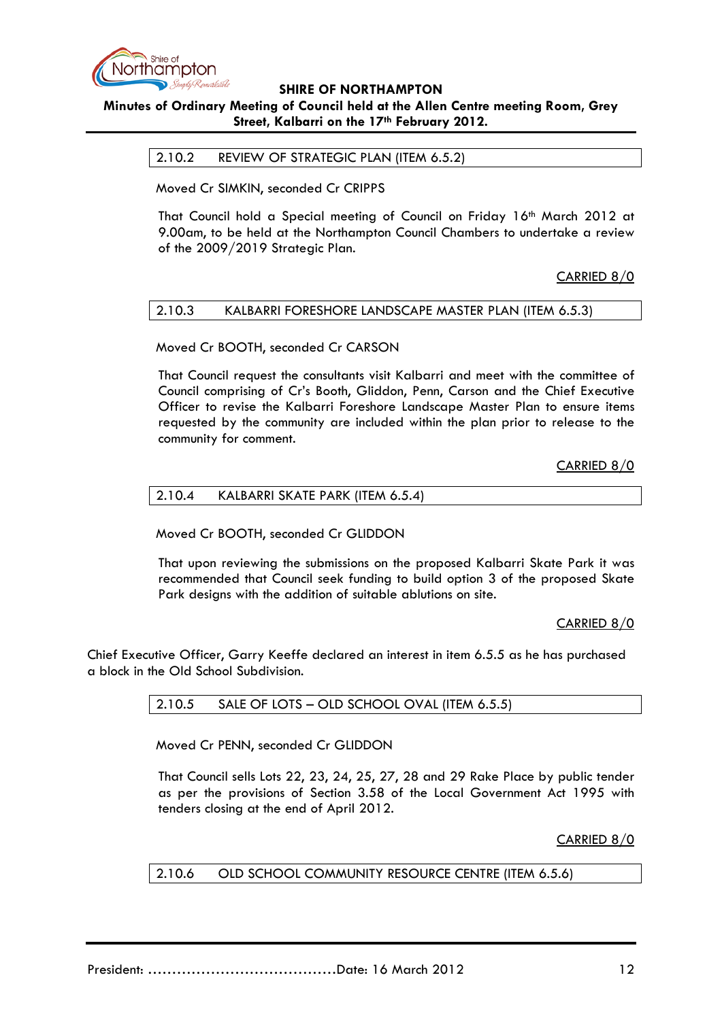

# **Minutes of Ordinary Meeting of Council held at the Allen Centre meeting Room, Grey Street, Kalbarri on the 17th February 2012.**

2.10.2 REVIEW OF STRATEGIC PLAN (ITEM 6.5.2)

Moved Cr SIMKIN, seconded Cr CRIPPS

That Council hold a Special meeting of Council on Friday 16th March 2012 at 9.00am, to be held at the Northampton Council Chambers to undertake a review of the 2009/2019 Strategic Plan.

### CARRIED 8/0

### 2.10.3 KALBARRI FORESHORE LANDSCAPE MASTER PLAN (ITEM 6.5.3)

Moved Cr BOOTH, seconded Cr CARSON

That Council request the consultants visit Kalbarri and meet with the committee of Council comprising of Cr's Booth, Gliddon, Penn, Carson and the Chief Executive Officer to revise the Kalbarri Foreshore Landscape Master Plan to ensure items requested by the community are included within the plan prior to release to the community for comment.

CARRIED 8/0

| 2.10.4<br>KALBARRI SKATE PARK (ITEM 6.5.4) |  |
|--------------------------------------------|--|
|--------------------------------------------|--|

Moved Cr BOOTH, seconded Cr GLIDDON

That upon reviewing the submissions on the proposed Kalbarri Skate Park it was recommended that Council seek funding to build option 3 of the proposed Skate Park designs with the addition of suitable ablutions on site.

CARRIED 8/0

Chief Executive Officer, Garry Keeffe declared an interest in item 6.5.5 as he has purchased a block in the Old School Subdivision.

2.10.5 SALE OF LOTS – OLD SCHOOL OVAL (ITEM 6.5.5)

Moved Cr PENN, seconded Cr GLIDDON

That Council sells Lots 22, 23, 24, 25, 27, 28 and 29 Rake Place by public tender as per the provisions of Section 3.58 of the Local Government Act 1995 with tenders closing at the end of April 2012.

CARRIED 8/0

2.10.6 OLD SCHOOL COMMUNITY RESOURCE CENTRE (ITEM 6.5.6)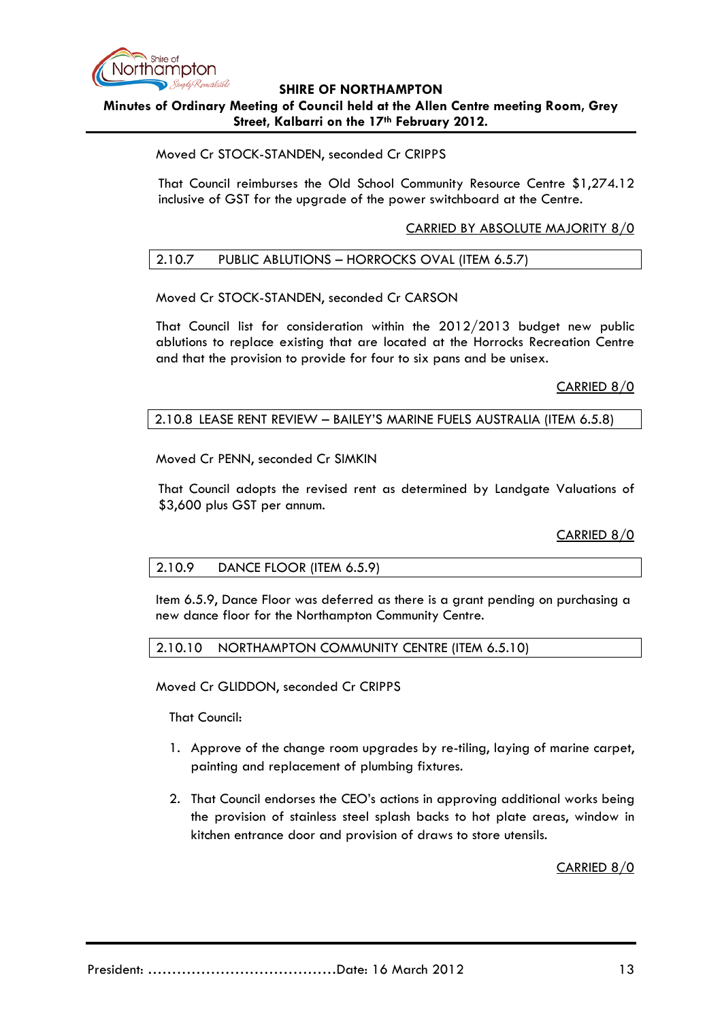

### **SHIRE OF NORTHAMPTON Minutes of Ordinary Meeting of Council held at the Allen Centre meeting Room, Grey Street, Kalbarri on the 17th February 2012.**

### Moved Cr STOCK-STANDEN, seconded Cr CRIPPS

That Council reimburses the Old School Community Resource Centre \$1,274.12 inclusive of GST for the upgrade of the power switchboard at the Centre.

### CARRIED BY ABSOLUTE MAJORITY 8/0

### 2.10.7 PUBLIC ABLUTIONS – HORROCKS OVAL (ITEM 6.5.7)

### Moved Cr STOCK-STANDEN, seconded Cr CARSON

That Council list for consideration within the 2012/2013 budget new public ablutions to replace existing that are located at the Horrocks Recreation Centre and that the provision to provide for four to six pans and be unisex.

CARRIED 8/0

### 2.10.8 LEASE RENT REVIEW – BAILEY'S MARINE FUELS AUSTRALIA (ITEM 6.5.8)

Moved Cr PENN, seconded Cr SIMKIN

That Council adopts the revised rent as determined by Landgate Valuations of \$3,600 plus GST per annum.

CARRIED 8/0

#### 2.10.9 DANCE FLOOR (ITEM 6.5.9)

Item 6.5.9, Dance Floor was deferred as there is a grant pending on purchasing a new dance floor for the Northampton Community Centre.

#### 2.10.10 NORTHAMPTON COMMUNITY CENTRE (ITEM 6.5.10)

Moved Cr GLIDDON, seconded Cr CRIPPS

That Council:

- 1. Approve of the change room upgrades by re-tiling, laying of marine carpet, painting and replacement of plumbing fixtures.
- 2. That Council endorses the CEO's actions in approving additional works being the provision of stainless steel splash backs to hot plate areas, window in kitchen entrance door and provision of draws to store utensils.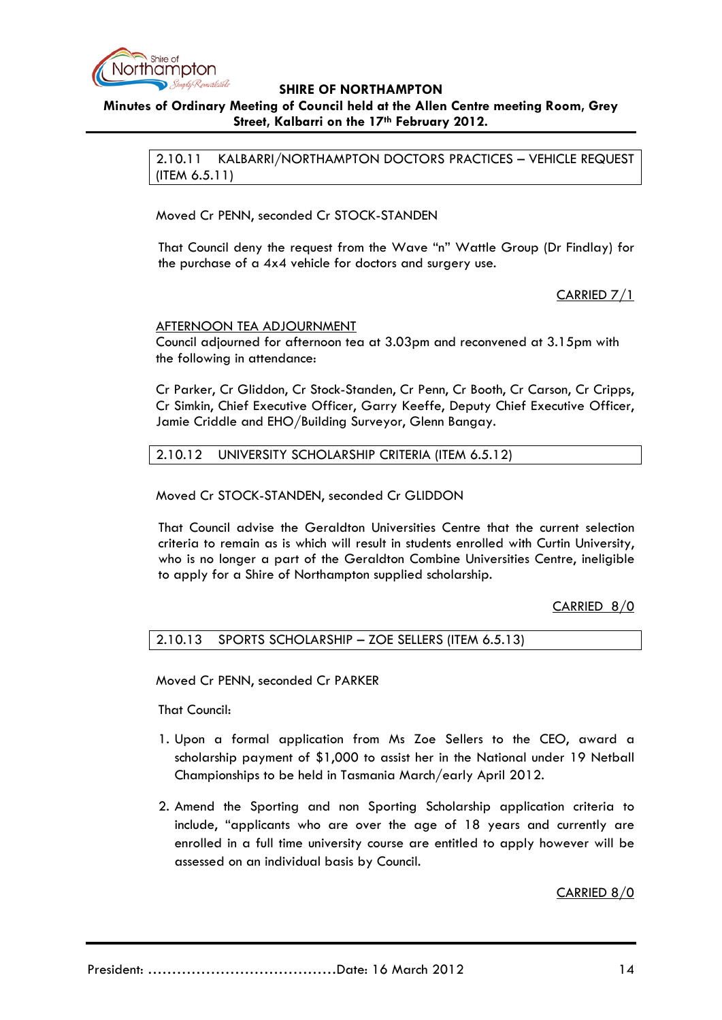

# **Minutes of Ordinary Meeting of Council held at the Allen Centre meeting Room, Grey Street, Kalbarri on the 17th February 2012.**

2.10.11 KALBARRI/NORTHAMPTON DOCTORS PRACTICES – VEHICLE REQUEST (ITEM 6.5.11)

Moved Cr PENN, seconded Cr STOCK-STANDEN

That Council deny the request from the Wave "n" Wattle Group (Dr Findlay) for the purchase of a 4x4 vehicle for doctors and surgery use.

### CARRIED 7/1

### AFTERNOON TEA ADJOURNMENT

Council adjourned for afternoon tea at 3.03pm and reconvened at 3.15pm with the following in attendance:

Cr Parker, Cr Gliddon, Cr Stock-Standen, Cr Penn, Cr Booth, Cr Carson, Cr Cripps, Cr Simkin, Chief Executive Officer, Garry Keeffe, Deputy Chief Executive Officer, Jamie Criddle and EHO/Building Surveyor, Glenn Bangay.

2.10.12 UNIVERSITY SCHOLARSHIP CRITERIA (ITEM 6.5.12)

Moved Cr STOCK-STANDEN, seconded Cr GLIDDON

That Council advise the Geraldton Universities Centre that the current selection criteria to remain as is which will result in students enrolled with Curtin University, who is no longer a part of the Geraldton Combine Universities Centre, ineligible to apply for a Shire of Northampton supplied scholarship.

CARRIED 8/0

### 2.10.13 SPORTS SCHOLARSHIP – ZOE SELLERS (ITEM 6.5.13)

Moved Cr PENN, seconded Cr PARKER

That Council:

- 1. Upon a formal application from Ms Zoe Sellers to the CEO, award a scholarship payment of \$1,000 to assist her in the National under 19 Netball Championships to be held in Tasmania March/early April 2012.
- 2. Amend the Sporting and non Sporting Scholarship application criteria to include, "applicants who are over the age of 18 years and currently are enrolled in a full time university course are entitled to apply however will be assessed on an individual basis by Council.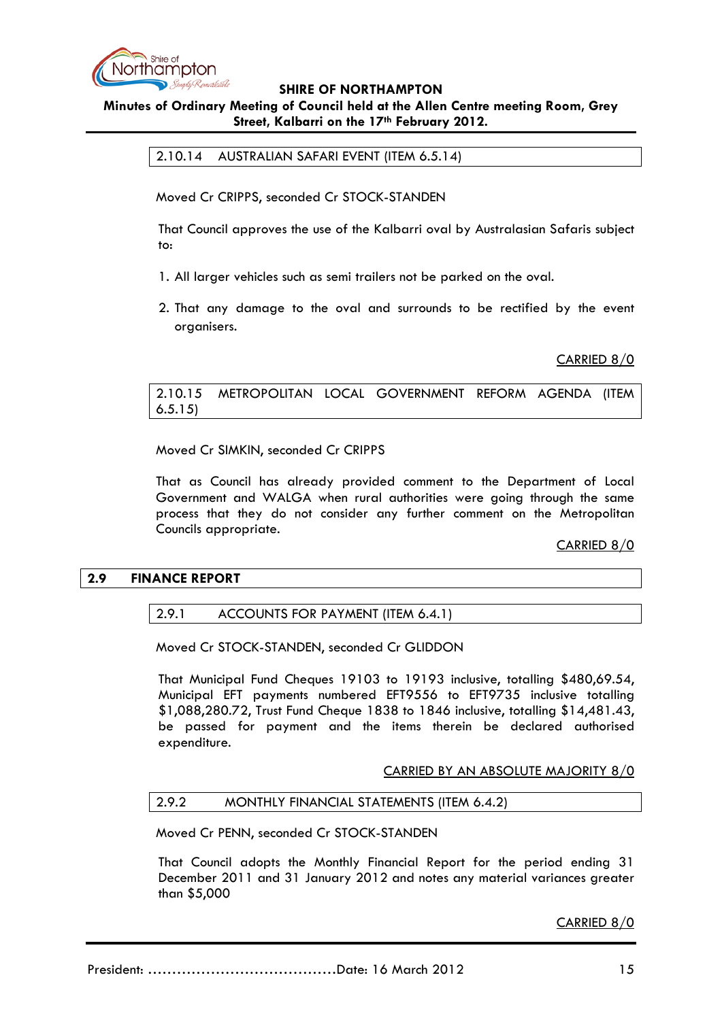

# **Minutes of Ordinary Meeting of Council held at the Allen Centre meeting Room, Grey Street, Kalbarri on the 17th February 2012.**

2.10.14 AUSTRALIAN SAFARI EVENT (ITEM 6.5.14)

Moved Cr CRIPPS, seconded Cr STOCK-STANDEN

That Council approves the use of the Kalbarri oval by Australasian Safaris subject to:

- 1. All larger vehicles such as semi trailers not be parked on the oval.
- 2. That any damage to the oval and surrounds to be rectified by the event organisers.

CARRIED 8/0

2.10.15 METROPOLITAN LOCAL GOVERNMENT REFORM AGENDA (ITEM 6.5.15)

Moved Cr SIMKIN, seconded Cr CRIPPS

That as Council has already provided comment to the Department of Local Government and WALGA when rural authorities were going through the same process that they do not consider any further comment on the Metropolitan Councils appropriate.

CARRIED 8/0

#### **2.9 FINANCE REPORT**

### 2.9.1 ACCOUNTS FOR PAYMENT (ITEM 6.4.1)

Moved Cr STOCK-STANDEN, seconded Cr GLIDDON

That Municipal Fund Cheques 19103 to 19193 inclusive, totalling \$480,69.54, Municipal EFT payments numbered EFT9556 to EFT9735 inclusive totalling \$1,088,280.72, Trust Fund Cheque 1838 to 1846 inclusive, totalling \$14,481.43, be passed for payment and the items therein be declared authorised expenditure.

CARRIED BY AN ABSOLUTE MAJORITY 8/0

#### 2.9.2 MONTHLY FINANCIAL STATEMENTS (ITEM 6.4.2)

Moved Cr PENN, seconded Cr STOCK-STANDEN

That Council adopts the Monthly Financial Report for the period ending 31 December 2011 and 31 January 2012 and notes any material variances greater than \$5,000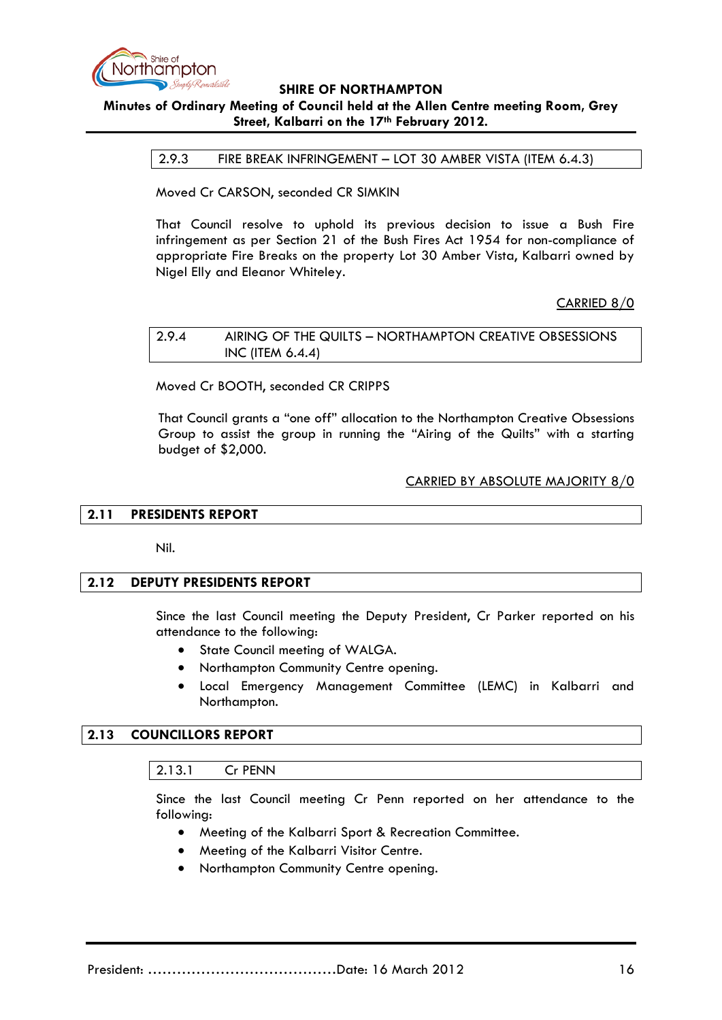

# **Minutes of Ordinary Meeting of Council held at the Allen Centre meeting Room, Grey Street, Kalbarri on the 17th February 2012.**

#### 2.9.3 FIRE BREAK INFRINGEMENT – LOT 30 AMBER VISTA (ITEM 6.4.3)

Moved Cr CARSON, seconded CR SIMKIN

That Council resolve to uphold its previous decision to issue a Bush Fire infringement as per Section 21 of the Bush Fires Act 1954 for non-compliance of appropriate Fire Breaks on the property Lot 30 Amber Vista, Kalbarri owned by Nigel Elly and Eleanor Whiteley.

CARRIED 8/0

#### 2.9.4 AIRING OF THE QUILTS – NORTHAMPTON CREATIVE OBSESSIONS INC (ITEM 6.4.4)

Moved Cr BOOTH, seconded CR CRIPPS

That Council grants a "one off" allocation to the Northampton Creative Obsessions Group to assist the group in running the "Airing of the Quilts" with a starting budget of \$2,000.

### CARRIED BY ABSOLUTE MAJORITY 8/0

### **2.11 PRESIDENTS REPORT**

Nil.

#### **2.12 DEPUTY PRESIDENTS REPORT**

Since the last Council meeting the Deputy President, Cr Parker reported on his attendance to the following:

- State Council meeting of WALGA.
- Northampton Community Centre opening.
- Local Emergency Management Committee (LEMC) in Kalbarri and Northampton.

### **2.13 COUNCILLORS REPORT**

2.13.1 Cr PENN

Since the last Council meeting Cr Penn reported on her attendance to the following:

- Meeting of the Kalbarri Sport & Recreation Committee.
- Meeting of the Kalbarri Visitor Centre.
- Northampton Community Centre opening.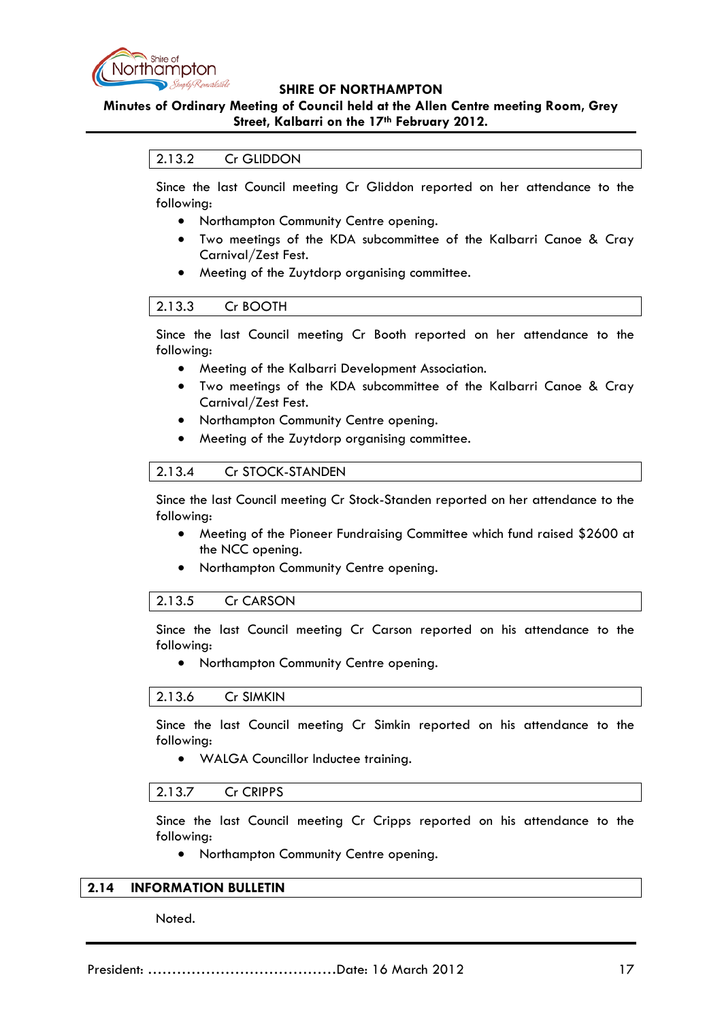

### **Minutes of Ordinary Meeting of Council held at the Allen Centre meeting Room, Grey Street, Kalbarri on the 17th February 2012.**

### 2.13.2 Cr GLIDDON

Since the last Council meeting Cr Gliddon reported on her attendance to the following:

- Northampton Community Centre opening.
- Two meetings of the KDA subcommittee of the Kalbarri Canoe & Cray Carnival/Zest Fest.
- Meeting of the Zuytdorp organising committee.

Since the last Council meeting Cr Booth reported on her attendance to the following:

- Meeting of the Kalbarri Development Association.
- Two meetings of the KDA subcommittee of the Kalbarri Canoe & Cray Carnival/Zest Fest.
- Northampton Community Centre opening.
- Meeting of the Zuytdorp organising committee.

#### 2.13.4 Cr STOCK-STANDEN

Since the last Council meeting Cr Stock-Standen reported on her attendance to the following:

- Meeting of the Pioneer Fundraising Committee which fund raised \$2600 at the NCC opening.
- Northampton Community Centre opening.

#### 2.13.5 Cr CARSON

Since the last Council meeting Cr Carson reported on his attendance to the following:

• Northampton Community Centre opening.

#### 2.13.6 Cr SIMKIN

Since the last Council meeting Cr Simkin reported on his attendance to the following:

• WALGA Councillor Inductee training.

#### 2.13.7 Cr CRIPPS

Since the last Council meeting Cr Cripps reported on his attendance to the following:

• Northampton Community Centre opening.

#### **2.14 INFORMATION BULLETIN**

#### Noted.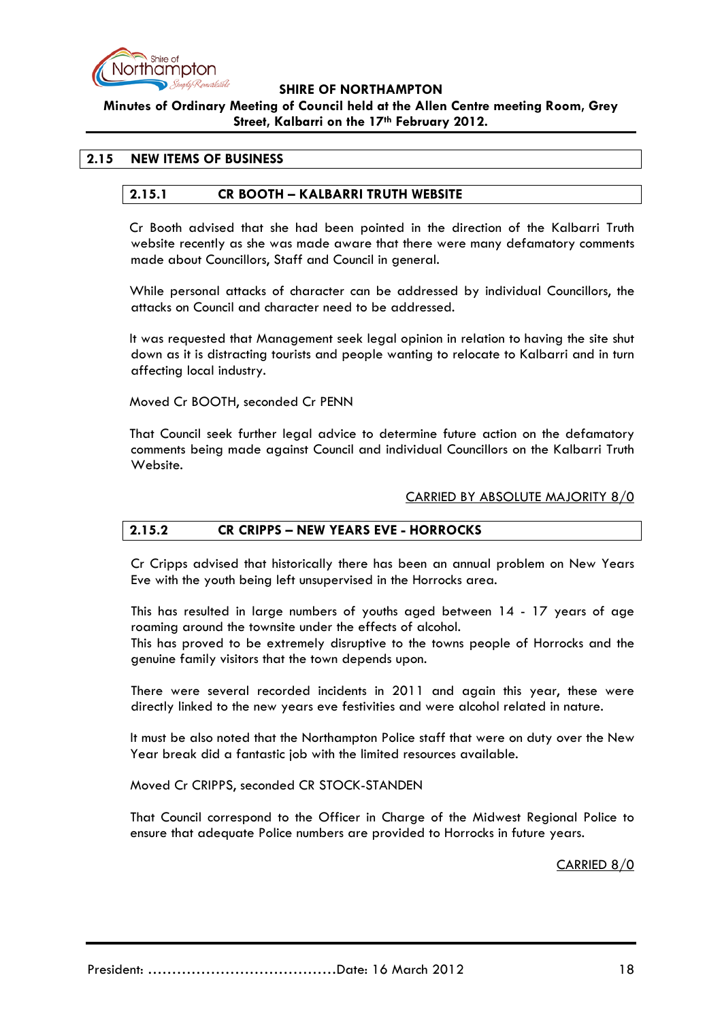

**Minutes of Ordinary Meeting of Council held at the Allen Centre meeting Room, Grey Street, Kalbarri on the 17th February 2012.**

### **2.15 NEW ITEMS OF BUSINESS**

### **2.15.1 CR BOOTH – KALBARRI TRUTH WEBSITE**

Cr Booth advised that she had been pointed in the direction of the Kalbarri Truth website recently as she was made aware that there were many defamatory comments made about Councillors, Staff and Council in general.

While personal attacks of character can be addressed by individual Councillors, the attacks on Council and character need to be addressed.

It was requested that Management seek legal opinion in relation to having the site shut down as it is distracting tourists and people wanting to relocate to Kalbarri and in turn affecting local industry.

Moved Cr BOOTH, seconded Cr PENN

That Council seek further legal advice to determine future action on the defamatory comments being made against Council and individual Councillors on the Kalbarri Truth Website.

#### CARRIED BY ABSOLUTE MAJORITY 8/0

#### **2.15.2 CR CRIPPS – NEW YEARS EVE - HORROCKS**

Cr Cripps advised that historically there has been an annual problem on New Years Eve with the youth being left unsupervised in the Horrocks area.

This has resulted in large numbers of youths aged between 14 - 17 years of age roaming around the townsite under the effects of alcohol.

This has proved to be extremely disruptive to the towns people of Horrocks and the genuine family visitors that the town depends upon.

There were several recorded incidents in 2011 and again this year, these were directly linked to the new years eve festivities and were alcohol related in nature.

It must be also noted that the Northampton Police staff that were on duty over the New Year break did a fantastic job with the limited resources available.

Moved Cr CRIPPS, seconded CR STOCK-STANDEN

That Council correspond to the Officer in Charge of the Midwest Regional Police to ensure that adequate Police numbers are provided to Horrocks in future years.